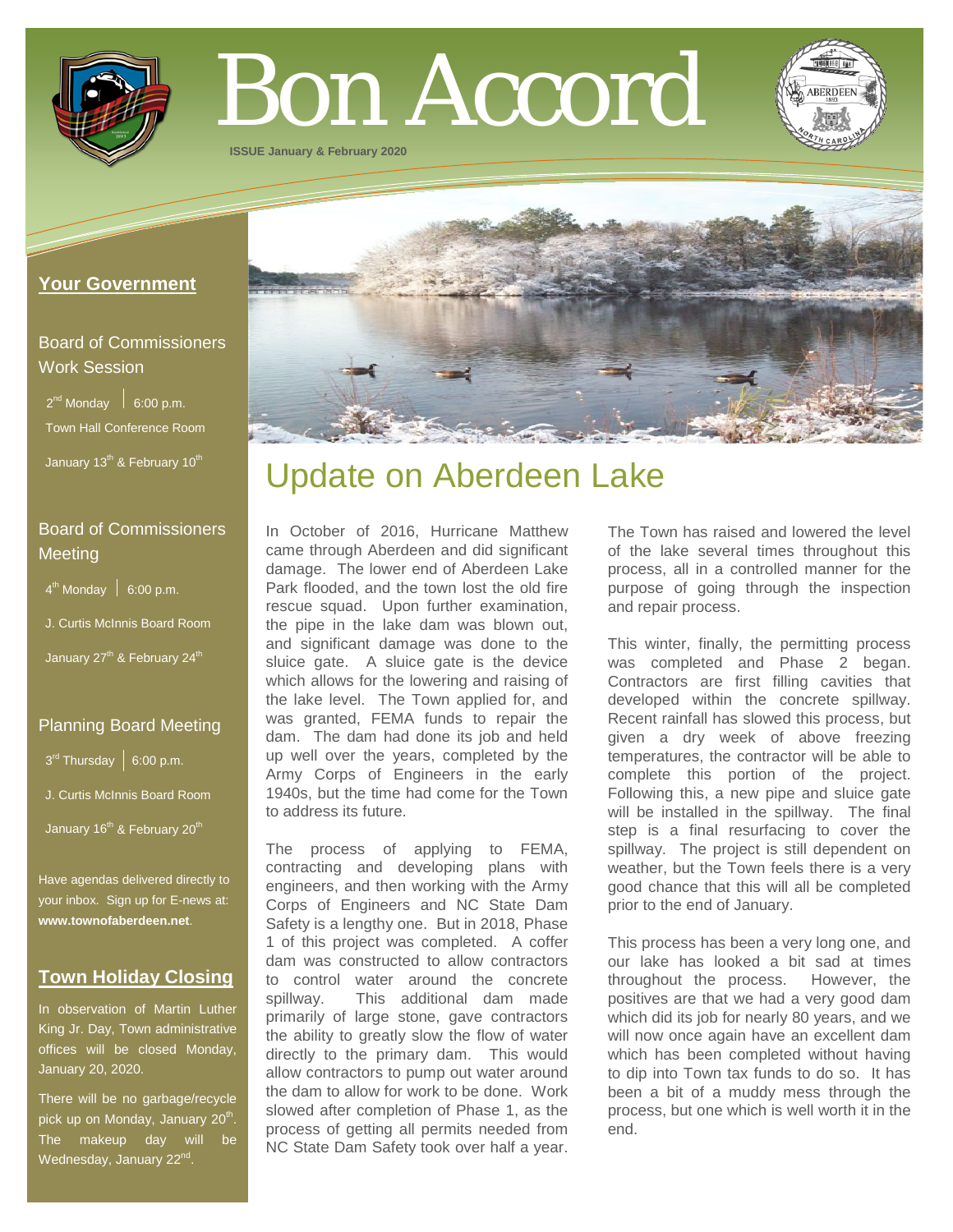

# Bon Accord

**ISSUE January & February 2020**

#### **Your Government**

# Board of Commissioners Work Session

 $2^{nd}$  Monday  $\Big|$  6:00 p.m. Town Hall Conference Room January 13<sup>th</sup> & February 10<sup>th</sup>

# Board of Commissioners **Meeting**

 $4<sup>th</sup>$  Monday  $\Big|$  6:00 p.m.

- J. Curtis McInnis Board Room
- January 27<sup>th</sup> & February 24<sup>th</sup>

# Planning Board Meeting

 $3^{\text{rd}}$  Thursday | 6:00 p.m.

J. Curtis McInnis Board Room

January 16<sup>th</sup> & February 20<sup>th</sup>

Have agendas delivered directly to your inbox. Sign up for E-news at: **[www.townofaberdeen.net](http://www.townofaberdeen.net/)**.

### **Town Holiday Closing**

In observation of Martin Luther King Jr. Day, Town administrative offices will be closed Monday, January 20, 2020.

There will be no garbage/recycle pick up on Monday, January 20<sup>th</sup>. The makeup day will be Wednesday, January 22<sup>nd</sup>.

# Update on Aberdeen Lake

In October of 2016, Hurricane Matthew came through Aberdeen and did significant damage. The lower end of Aberdeen Lake Park flooded, and the town lost the old fire rescue squad. Upon further examination, the pipe in the lake dam was blown out, and significant damage was done to the sluice gate. A sluice gate is the device which allows for the lowering and raising of the lake level. The Town applied for, and was granted, FEMA funds to repair the dam. The dam had done its job and held up well over the years, completed by the Army Corps of Engineers in the early 1940s, but the time had come for the Town to address its future.

The process of applying to FEMA, contracting and developing plans with engineers, and then working with the Army Corps of Engineers and NC State Dam Safety is a lengthy one. But in 2018, Phase 1 of this project was completed. A coffer dam was constructed to allow contractors to control water around the concrete spillway. This additional dam made primarily of large stone, gave contractors the ability to greatly slow the flow of water directly to the primary dam. This would allow contractors to pump out water around the dam to allow for work to be done. Work slowed after completion of Phase 1, as the process of getting all permits needed from NC State Dam Safety took over half a year.

The Town has raised and lowered the level of the lake several times throughout this process, all in a controlled manner for the purpose of going through the inspection and repair process.

This winter, finally, the permitting process was completed and Phase 2 began. Contractors are first filling cavities that developed within the concrete spillway. Recent rainfall has slowed this process, but given a dry week of above freezing temperatures, the contractor will be able to complete this portion of the project. Following this, a new pipe and sluice gate will be installed in the spillway. The final step is a final resurfacing to cover the spillway. The project is still dependent on weather, but the Town feels there is a very good chance that this will all be completed prior to the end of January.

This process has been a very long one, and our lake has looked a bit sad at times throughout the process. However, the positives are that we had a very good dam which did its job for nearly 80 years, and we will now once again have an excellent dam which has been completed without having to dip into Town tax funds to do so. It has been a bit of a muddy mess through the process, but one which is well worth it in the end.